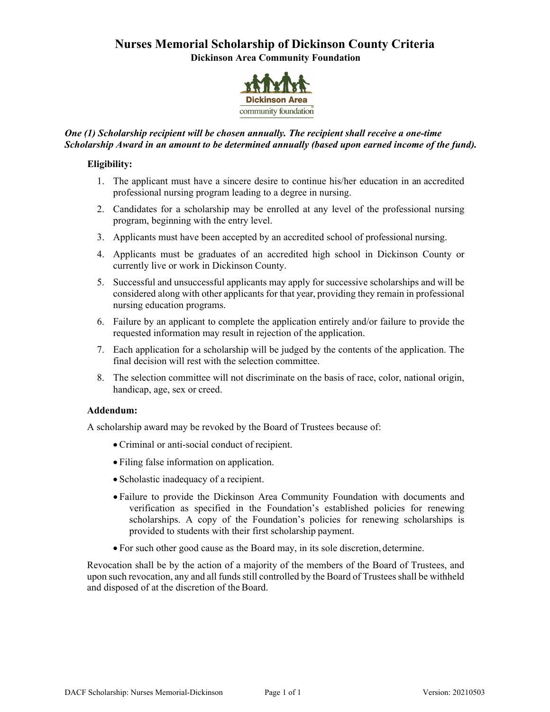## **Nurses Memorial Scholarship of Dickinson County Criteria Dickinson Area Community Foundation**



## *One (1) Scholarship recipient will be chosen annually. The recipient shall receive a one-time Scholarship Award in an amount to be determined annually (based upon earned income of the fund).*

## **Eligibility:**

- 1. The applicant must have a sincere desire to continue his/her education in an accredited professional nursing program leading to a degree in nursing.
- 2. Candidates for a scholarship may be enrolled at any level of the professional nursing program, beginning with the entry level.
- 3. Applicants must have been accepted by an accredited school of professional nursing.
- 4. Applicants must be graduates of an accredited high school in Dickinson County or currently live or work in Dickinson County.
- 5. Successful and unsuccessful applicants may apply for successive scholarships and will be considered along with other applicants for that year, providing they remain in professional nursing education programs.
- 6. Failure by an applicant to complete the application entirely and/or failure to provide the requested information may result in rejection of the application.
- 7. Each application for a scholarship will be judged by the contents of the application. The final decision will rest with the selection committee.
- 8. The selection committee will not discriminate on the basis of race, color, national origin, handicap, age, sex or creed.

### **Addendum:**

A scholarship award may be revoked by the Board of Trustees because of:

- Criminal or anti-social conduct of recipient.
- Filing false information on application.
- Scholastic inadequacy of a recipient.
- Failure to provide the Dickinson Area Community Foundation with documents and verification as specified in the Foundation's established policies for renewing scholarships. A copy of the Foundation's policies for renewing scholarships is provided to students with their first scholarship payment.
- For such other good cause as the Board may, in its sole discretion, determine.

Revocation shall be by the action of a majority of the members of the Board of Trustees, and upon such revocation, any and all funds still controlled by the Board of Trustees shall be withheld and disposed of at the discretion of the Board.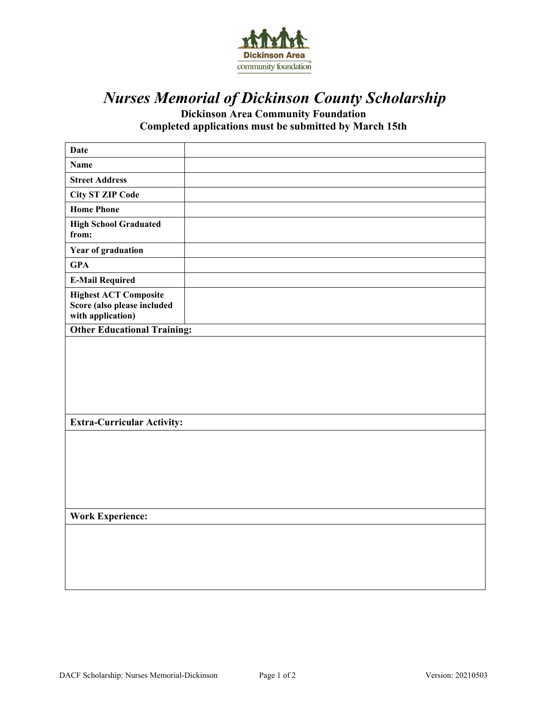

# *Nurses Memorial of Dickinson County Scholarship*

**Dickinson Area Community Foundation Completed applications must be submitted by March 15th** 

| <b>Date</b>                                                                      |  |  |  |
|----------------------------------------------------------------------------------|--|--|--|
| <b>Name</b>                                                                      |  |  |  |
| <b>Street Address</b>                                                            |  |  |  |
| <b>City ST ZIP Code</b>                                                          |  |  |  |
| <b>Home Phone</b>                                                                |  |  |  |
| <b>High School Graduated</b><br>from:                                            |  |  |  |
| Year of graduation                                                               |  |  |  |
| <b>GPA</b>                                                                       |  |  |  |
| <b>E-Mail Required</b>                                                           |  |  |  |
| <b>Highest ACT Composite</b><br>Score (also please included<br>with application) |  |  |  |
| <b>Other Educational Training:</b>                                               |  |  |  |
|                                                                                  |  |  |  |
| <b>Extra-Curricular Activity:</b>                                                |  |  |  |
|                                                                                  |  |  |  |
| <b>Work Experience:</b>                                                          |  |  |  |
|                                                                                  |  |  |  |